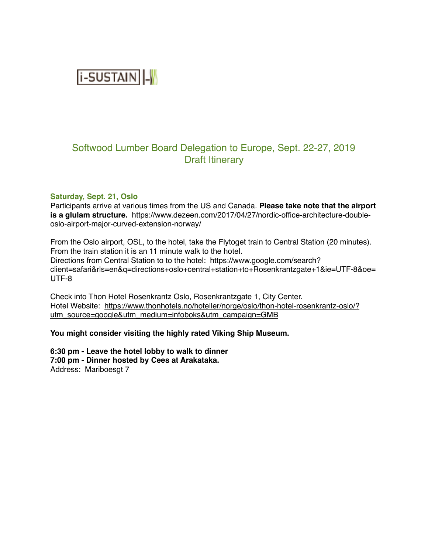**i-SUSTAIN** 

# Softwood Lumber Board Delegation to Europe, Sept. 22-27, 2019 Draft Itinerary

#### **Saturday, Sept. 21, Oslo**

Participants arrive at various times from the US and Canada. **Please take note that the airport is a glulam structure.** https://www.dezeen.com/2017/04/27/nordic-office-architecture-doubleoslo-airport-major-curved-extension-norway/

From the Oslo airport, OSL, to the hotel, take the Flytoget train to Central Station (20 minutes). From the train station it is an 11 minute walk to the hotel. Directions from Central Station to to the hotel: https://www.google.com/search? client=safari&rls=en&q=directions+oslo+central+station+to+Rosenkrantzgate+1&ie=UTF-8&oe= UTF-8

Check into Thon Hotel Rosenkrantz Oslo, Rosenkrantzgate 1, City Center. [Hotel Website: https://www.thonhotels.no/hoteller/norge/oslo/thon-hotel-rosenkrantz-oslo/?](https://www.thonhotels.no/hoteller/norge/oslo/thon-hotel-rosenkrantz-oslo/?utm_source=google&utm_medium=infoboks&utm_campaign=GMB) [utm\\_source=google&utm\\_medium=infoboks&utm\\_campaign=GMB](https://www.thonhotels.no/hoteller/norge/oslo/thon-hotel-rosenkrantz-oslo/?utm_source=google&utm_medium=infoboks&utm_campaign=GMB)

#### **You might consider visiting the highly rated Viking Ship Museum.**

**6:30 pm - Leave the hotel lobby to walk to dinner 7:00 pm - Dinner hosted by Cees at Arakataka.** Address: Mariboesgt 7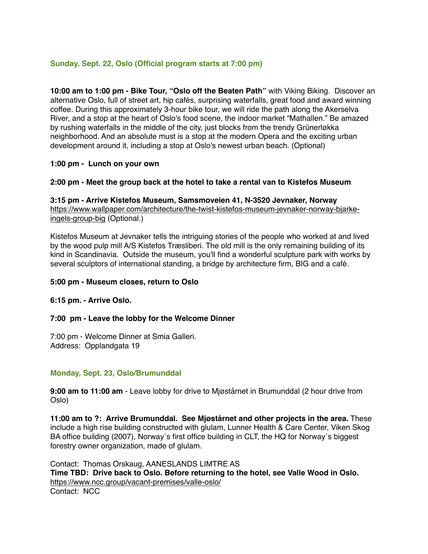# **Sunday, Sept. 22, Oslo (Official program starts at 7:00 pm)**

**10:00 am to 1:00 pm - Bike Tour, "Oslo off the Beaten Path"** with Viking Biking. Discover an alternative Oslo, full of street art, hip cafés, surprising waterfalls, great food and award winning coffee. During this approximately 3-hour bike tour, we will ride the path along the Akerselva River, and a stop at the heart of Oslo's food scene, the indoor market "Mathallen." Be amazed by rushing waterfalls in the middle of the city, just blocks from the trendy Grünerløkka neighborhood. And an absolute must is a stop at the modern Opera and the exciting urban development around it, including a stop at Oslo's newest urban beach. (Optional)

### **1:00 pm - Lunch on your own**

### **2:00 pm - Meet the group back at the hotel to take a rental van to Kistefos Museum**

**3:15 pm - Arrive Kistefos Museum, Samsmoveien 41, N-3520 Jevnaker, Norway** [https://www.wallpaper.com/architecture/the-twist-kistefos-museum-jevnaker-norway-bjarke](https://www.wallpaper.com/architecture/the-twist-kistefos-museum-jevnaker-norway-bjarke-ingels-group-big)[ingels-group-big](https://www.wallpaper.com/architecture/the-twist-kistefos-museum-jevnaker-norway-bjarke-ingels-group-big) (Optional.)

Kistefos Museum at Jevnaker tells the intriguing stories of the people who worked at and lived by the wood pulp mill A/S Kistefos Træsliberi. The old mill is the only remaining building of its kind in Scandinavia. Outside the museum, you'll find a wonderful sculpture park with works by several sculptors of international standing, a bridge by architecture firm, BIG and a café.

#### **5:00 pm - Museum closes, return to Oslo**

#### **6:15 pm. - Arrive Oslo.**

#### **7:00 pm - Leave the lobby for the Welcome Dinner**

7:00 pm - Welcome Dinner at Smia Galleri. Address: Opplandgata 19

### **Monday, Sept. 23, Oslo/Brumunddal**

**9:00 am to 11:00 am** - Leave lobby for drive to Mjøstårnet in Brumunddal (2 hour drive from Oslo)

**11:00 am to ?: Arrive Brumunddal. See Mjøstårnet and other projects in the area.** These include a high rise building constructed with glulam, Lunner Health & Care Center, Viken Skog BA office building (2007), Norway´s first office building in CLT, the HQ for Norway´s biggest forestry owner organization, made of glulam.

Contact: Thomas Orskaug, AANESLANDS LIMTRE AS **Time TBD: Drive back to Oslo. Before returning to the hotel, see Valle Wood in Oslo.** <https://www.ncc.group/vacant-premises/valle-oslo/> Contact: NCC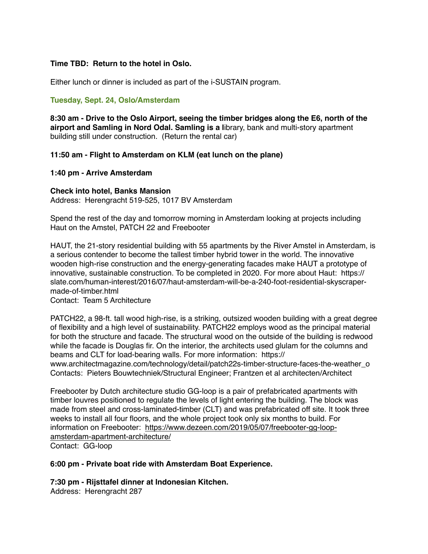### **Time TBD: Return to the hotel in Oslo.**

Either lunch or dinner is included as part of the i-SUSTAIN program.

## **Tuesday, Sept. 24, Oslo/Amsterdam**

**8:30 am - Drive to the Oslo Airport, seeing the timber bridges along the E6, north of the airport and Samling in Nord Odal. Samling is a l**ibrary, bank and multi-story apartment building still under construction. (Return the rental car)

### **11:50 am - Flight to Amsterdam on KLM (eat lunch on the plane)**

### **1:40 pm - Arrive Amsterdam**

#### **Check into hotel, Banks Mansion**

Address: Herengracht 519-525, 1017 BV Amsterdam

Spend the rest of the day and tomorrow morning in Amsterdam looking at projects including Haut on the Amstel, PATCH 22 and Freebooter

HAUT, the 21-story residential building with 55 apartments by the River Amstel in Amsterdam, is a serious contender to become the tallest timber hybrid tower in the world. The innovative wooden high-rise construction and the energy-generating facades make HAUT a prototype of innovative, sustainable construction. To be completed in 2020. For more about Haut: https:// slate.com/human-interest/2016/07/haut-amsterdam-will-be-a-240-foot-residential-skyscrapermade-of-timber.html

Contact: Team 5 Architecture

PATCH22, a 98-ft. tall wood high-rise, is a striking, outsized wooden building with a great degree of flexibility and a high level of sustainability. PATCH22 employs wood as the principal material for both the structure and facade. The structural wood on the outside of the building is redwood while the facade is Douglas fir. On the interior, the architects used glulam for the columns and beams and CLT for load-bearing walls. For more information: https://

www.architectmagazine.com/technology/detail/patch22s-timber-structure-faces-the-weather\_o Contacts: Pieters Bouwtechniek/Structural Engineer; Frantzen et al architecten/Architect

Freebooter by Dutch architecture studio GG-loop is a pair of prefabricated apartments with timber louvres positioned to regulate the levels of light entering the building. The block was made from steel and cross-laminated-timber (CLT) and was prefabricated off site. It took three weeks to install all four floors, and the whole project took only six months to build. For [information on Freebooter: https://www.dezeen.com/2019/05/07/freebooter-gg-loop](https://www.dezeen.com/2019/05/07/freebooter-gg-loop-amsterdam-apartment-architecture/)[amsterdam-apartment-architecture/](https://www.dezeen.com/2019/05/07/freebooter-gg-loop-amsterdam-apartment-architecture/)

Contact: GG-loop

**6:00 pm - Private boat ride with Amsterdam Boat Experience.**

**7:30 pm - Rijsttafel dinner at Indonesian Kitchen.**

Address: Herengracht 287